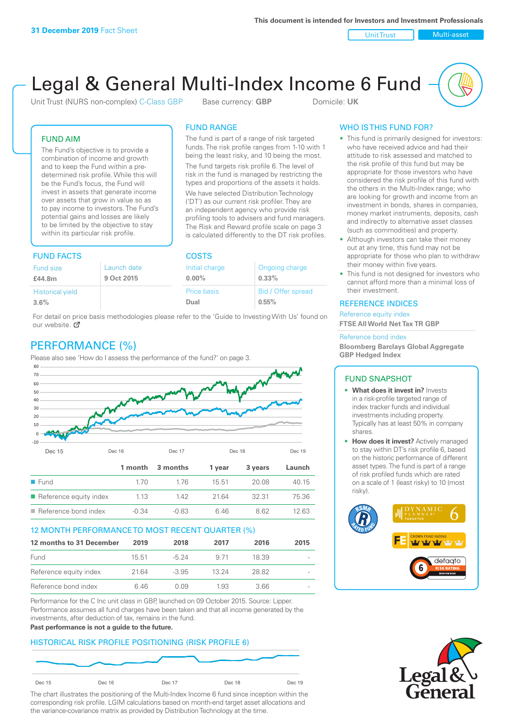Unit Trust Nulti-asset

# Legal & General Multi-Index Income 6 Fund

Unit Trust (NURS non-complex) C-Class GBP Base currency: **GBP** Domicile: UK

The fund is part of a range of risk targeted funds. The risk profile ranges from 1-10 with 1 being the least risky, and 10 being the most. The fund targets risk profile 6. The level of risk in the fund is managed by restricting the types and proportions of the assets it holds. We have selected Distribution Technology ('DT') as our current risk profiler. They are an independent agency who provide risk profiling tools to advisers and fund managers. The Risk and Reward profile scale on page 3 is calculated differently to the DT risk profiles.

FUND RANGE

# FUND AIM

The Fund's objective is to provide a combination of income and growth and to keep the Fund within a predetermined risk profile. While this will be the Fund's focus, the Fund will invest in assets that generate income over assets that grow in value so as to pay income to investors. The Fund's potential gains and losses are likely to be limited by the objective to stay within its particular risk profile.

# FUND FACTS COSTS

| .                       |             |                    |                    |  |
|-------------------------|-------------|--------------------|--------------------|--|
| <b>Fund size</b>        | Launch date | Initial charge     | Ongoing charge     |  |
| £44.8m                  | 9 Oct 2015  | $0.00\%$           | $0.33\%$           |  |
| <b>Historical yield</b> |             | <b>Price basis</b> | Bid / Offer spread |  |
| 3.6%                    |             | Dual               | 0.55%              |  |

For detail on price basis methodologies please refer to the 'Guide to Investing With Us' found on our website. Ø

# PERFORMANCE (%)

Please also see 'How do I assess the performance of the fund?' on page 3.



# 12 MONTH PERFORMANCE TO MOST RECENT QUARTER (%)

| 12 months to 31 December | 2019  | 2018    | 2017  | 2016  | 2015   |
|--------------------------|-------|---------|-------|-------|--------|
| Fund                     | 15.51 | -5 24   | 9 71  | 18.39 | $\sim$ |
| Reference equity index   | 2164  | $-3.95$ | 13 24 | 28.82 | $\sim$ |
| Reference bond index     | 646   | O 0.9   | 1.93  | 3.66  | $\sim$ |

Performance for the C Inc unit class in GBP, launched on 09 October 2015. Source: Lipper. Performance assumes all fund charges have been taken and that all income generated by the investments, after deduction of tax, remains in the fund.

#### **Past performance is not a guide to the future.**

# HISTORICAL RISK PROFILE POSITIONING (RISK PROFILE 6)



The chart illustrates the positioning of the Multi-Index Income 6 fund since inception within the corresponding risk profile. LGIM calculations based on month-end target asset allocations and the variance-covariance matrix as provided by Distribution Technology at the time.

# WHO IS THIS FUND FOR?

- This fund is primarily designed for investors: who have received advice and had their attitude to risk assessed and matched to the risk profile of this fund but may be appropriate for those investors who have considered the risk profile of this fund with the others in the Multi-Index range; who are looking for growth and income from an investment in bonds, shares in companies, money market instruments, deposits, cash and indirectly to alternative asset classes (such as commodities) and property.
- Although investors can take their money out at any time, this fund may not be appropriate for those who plan to withdraw their money within five years.
- This fund is not designed for investors who cannot afford more than a minimal loss of their investment.

# REFERENCE INDICES

Reference equity index **FTSE All World Net Tax TR GBP**

#### Reference bond index

**Bloomberg Barclays Global Aggregate GBP Hedged Index**

# FUND SNAPSHOT

- **• What does it invest in?** Invests in a risk-profile targeted range of index tracker funds and individual investments including property. Typically has at least 50% in company shares.
- **• How does it invest?** Actively managed to stay within DT's risk profile 6, based on the historic performance of different asset types. The fund is part of a range of risk profiled funds which are rated on a scale of 1 (least risky) to 10 (most risky).



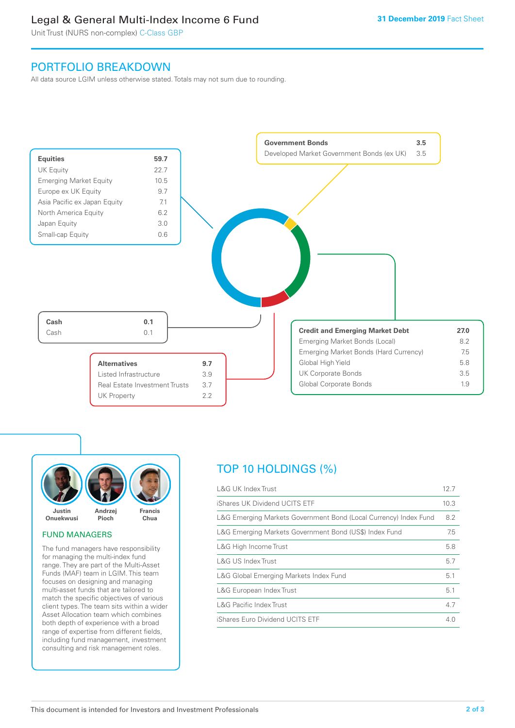# Legal & General Multi-Index Income 6 Fund

Unit Trust (NURS non-complex) C-Class GBP

# PORTFOLIO BREAKDOWN

All data source LGIM unless otherwise stated. Totals may not sum due to rounding.





#### FUND MANAGERS

The fund managers have responsibility for managing the multi-index fund range. They are part of the Multi-Asset Funds (MAF) team in LGIM. This team focuses on designing and managing multi-asset funds that are tailored to match the specific objectives of various client types. The team sits within a wider Asset Allocation team which combines both depth of experience with a broad range of expertise from different fields, including fund management, investment consulting and risk management roles.

# TOP 10 HOLDINGS (%)

| <b>L&amp;G UK Index Trust</b>                                    | 12.7 |
|------------------------------------------------------------------|------|
| iShares UK Dividend UCITS ETF                                    | 10.3 |
| L&G Emerging Markets Government Bond (Local Currency) Index Fund | 8.2  |
| L&G Emerging Markets Government Bond (US\$) Index Fund           | 7.5  |
| L&G High Income Trust                                            | 5.8  |
| L&G US Index Trust                                               | 5.7  |
| L&G Global Emerging Markets Index Fund                           | 5.1  |
| L&G European Index Trust                                         | 5.1  |
| <b>L&amp;G Pacific Index Trust</b>                               | 4.7  |
| iShares Euro Dividend UCITS ETF                                  | 4.0  |